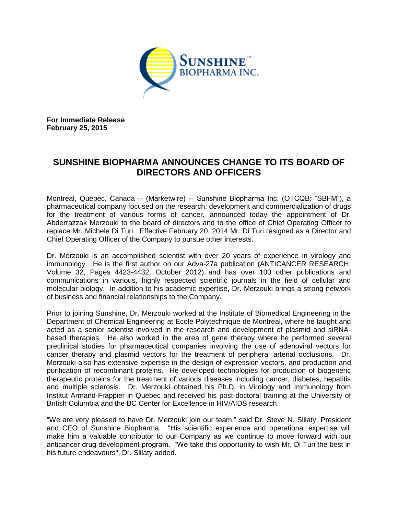

**For Immediate Release February 25, 2015**

# **SUNSHINE BIOPHARMA ANNOUNCES CHANGE TO ITS BOARD OF DIRECTORS AND OFFICERS**

Montreal, Quebec, Canada -- (Marketwire) -- Sunshine Biopharma Inc. (OTCQB: "SBFM"), a pharmaceutical company focused on the research, development and commercialization of drugs for the treatment of various forms of cancer, announced today the appointment of Dr. Abderrazzak Merzouki to the board of directors and to the office of Chief Operating Officer to replace Mr. Michele Di Turi. Effective February 20, 2014 Mr. Di Turi resigned as a Director and Chief Operating Officer of the Company to pursue other interests.

Dr. Merzouki is an accomplished scientist with over 20 years of experience in virology and immunology. He is the first author on our Adva-27a publication (ANTICANCER RESEARCH. Volume 32, Pages 4423-4432, October 2012) and has over 100 other publications and communications in various, highly respected scientific journals in the field of cellular and molecular biology. In addition to his academic expertise, Dr. Merzouki brings a strong network of business and financial relationships to the Company.

Prior to joining Sunshine, Dr. Merzouki worked at the Institute of Biomedical Engineering in the Department of Chemical Engineering at Ecole Polytechnique de Montreal, where he taught and acted as a senior scientist involved in the research and development of plasmid and siRNAbased therapies. He also worked in the area of gene therapy where he performed several preclinical studies for pharmaceutical companies involving the use of adenoviral vectors for cancer therapy and plasmid vectors for the treatment of peripheral arterial occlusions. Dr. Merzouki also has extensive expertise in the design of expression vectors, and production and purification of recombinant proteins. He developed technologies for production of biogeneric therapeutic proteins for the treatment of various diseases including cancer, diabetes, hepatitis and multiple sclerosis. Dr. Merzouki obtained his Ph.D. in Virology and Immunology from Institut Armand-Frappier in Quebec and received his post-doctoral training at the University of British Columbia and the BC Center for Excellence in HIV/AIDS research.

"We are very pleased to have Dr. Merzouki join our team," said Dr. Steve N. Slilaty, President and CEO of Sunshine Biopharma. "His scientific experience and operational expertise will make him a valuable contributor to our Company as we continue to move forward with our anticancer drug development program. "We take this opportunity to wish Mr. Di Turi the best in his future endeavours", Dr. Slilaty added.